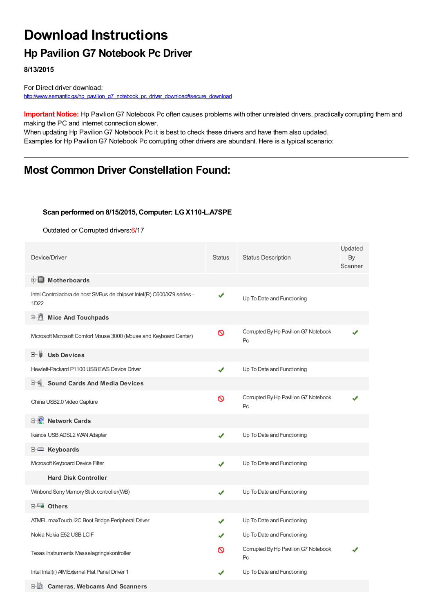# **Download Instructions**

## **Hp Pavilion G7 Notebook Pc Driver**

**8/13/2015**

For Direct driver download: [http://www.semantic.gs/hp\\_pavilion\\_g7\\_notebook\\_pc\\_driver\\_download#secure\\_download](http://www.semantic.gs/hp_pavilion_g7_notebook_pc_driver_download#secure_download)

**Important Notice:** Hp PavilionG7 Notebook Pc often causes problems with other unrelated drivers, practically corrupting them and making the PC and internet connection slower.

When updating Hp Pavilion G7 Notebook Pc it is best to check these drivers and have them also updated. Examples for Hp Pavilion G7 Notebook Pc corrupting other drivers are abundant. Here is a typical scenario:

### **Most Common Driver Constellation Found:**

#### **Scan performed on 8/15/2015, Computer: LGX110-L.A7SPE**

Outdated or Corrupted drivers:6/17

| Device/Driver                                                                  | <b>Status</b> | <b>Status Description</b>                  | Updated<br>By<br>Scanner |
|--------------------------------------------------------------------------------|---------------|--------------------------------------------|--------------------------|
| <b>E</b> Motherboards                                                          |               |                                            |                          |
| Intel Controladora de host SMBus de chipset Intel(R) C600/X79 series -<br>1D22 | ✔             | Up To Date and Functioning                 |                          |
| <b>E.</b> Mice And Touchpads                                                   |               |                                            |                          |
| Mcrosoft Mcrosoft Comfort Mouse 3000 (Mouse and Keyboard Center)               | Ø             | Corrupted By Hp Pavilion G7 Notebook<br>Pc |                          |
| <b>Usb Devices</b><br>田一郎                                                      |               |                                            |                          |
| Hewlett-Packard P1100 USB EWS Device Driver                                    | ✔             | Up To Date and Functioning                 |                          |
| <b>Sound Cards And Media Devices</b>                                           |               |                                            |                          |
| China USB2.0 Video Capture                                                     | Ø             | Corrupted By Hp Pavilion G7 Notebook<br>Pc |                          |
| <b>Network Cards</b>                                                           |               |                                            |                          |
| Ikanos USB ADSL2 WAN Adapter                                                   | ✔             | Up To Date and Functioning                 |                          |
| <b>E</b> Keyboards                                                             |               |                                            |                          |
| Mcrosoft Keyboard Device Filter                                                | ✔             | Up To Date and Functioning                 |                          |
| <b>Hard Disk Controller</b>                                                    |               |                                            |                          |
| Winbond Sony Memory Stick controller(WB)                                       | ✔             | Up To Date and Functioning                 |                          |
| <b>E</b> Others                                                                |               |                                            |                          |
| ATMEL maxTouch I2C Boot Bridge Peripheral Driver                               | ✔             | Up To Date and Functioning                 |                          |
| Nokia Nokia E52 USB LCIF                                                       |               | Up To Date and Functioning                 |                          |
| Texas Instruments Masselagringskontroller                                      | လ             | Corrupted By Hp Pavilion G7 Notebook<br>Pc |                          |
| Intel Intel(r) AIM External Flat Panel Driver 1                                |               | Up To Date and Functioning                 |                          |
| <b>E-D</b> Cameras. Webcams And Scanners                                       |               |                                            |                          |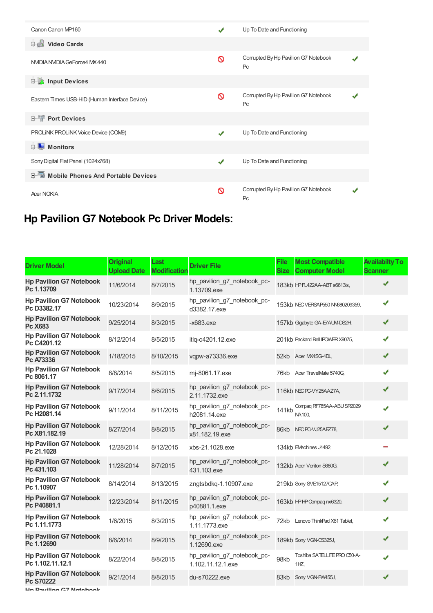| Canon Canon MP160                              |   | Up To Date and Functioning                             |  |
|------------------------------------------------|---|--------------------------------------------------------|--|
| <b>Dideo Cards</b>                             |   |                                                        |  |
| NVIDIA NVIDIA GeForce4 MX 440                  | ଷ | Corrupted By Hp Pavilion G7 Notebook<br>Pc             |  |
| <b>E-M</b> Input Devices                       |   |                                                        |  |
| Eastern Times USB-HID (Human Interface Device) | ⊚ | Corrupted By Hp Pavilion G7 Notebook<br>P <sub>C</sub> |  |
| <b>E-1</b> Port Devices                        |   |                                                        |  |
| PROLINK PROLINK Voice Device (COM9)            | J | Up To Date and Functioning                             |  |
| <b>Monitors</b>                                |   |                                                        |  |
| Sony Digital Flat Panel (1024x768)             | ✔ | Up To Date and Functioning                             |  |
| Mobile Phones And Portable Devices<br>由        |   |                                                        |  |
| <b>Acer NOKIA</b>                              | ଷ | Corrupted By Hp Pavilion G7 Notebook<br>Pc             |  |

## **Hp Pavilion G7 Notebook Pc Driver Models:**

| <b>Driver Model</b>                                | <b>Original</b><br><b>Upload Date</b> | Last<br><b>Modification</b> | <b>Driver File</b>                               | <b>File</b><br><b>Size</b> | <b>Most Compatible</b><br><b>Computer Model</b> | <b>Availabilty To</b><br><b>Scanner</b> |
|----------------------------------------------------|---------------------------------------|-----------------------------|--------------------------------------------------|----------------------------|-------------------------------------------------|-----------------------------------------|
| <b>Hp Pavilion G7 Notebook</b><br>Pc 1.13709       | 11/6/2014                             | 8/7/2015                    | hp_pavilion_g7_notebook_pc-<br>1.13709.exe       |                            | 183kb HPFL422AA-ABT a6613is,                    | ✔                                       |
| <b>Hp Pavilion G7 Notebook</b><br>Pc D3382.17      | 10/23/2014                            | 8/9/2015                    | hp_pavilion_g7_notebook_pc-<br>d3382.17.exe      |                            | 153kb NEC VERSAP550 NN680209359,                | ✔                                       |
| <b>Hp Pavilion G7 Notebook</b><br>Pc X683          | 9/25/2014                             | 8/3/2015                    | $-x683$ .exe                                     |                            | 157kb Gigabyte GA-E7AUM-DS2H,                   | ✔                                       |
| <b>Hp Pavilion G7 Notebook</b><br>Pc C4201.12      | 8/12/2014                             | 8/5/2015                    | itlq-c4201.12.exe                                |                            | 201kb Packard Bell IPOWER X9075,                | ✔                                       |
| <b>Hp Pavilion G7 Notebook</b><br>Pc A73336        | 1/18/2015                             | 8/10/2015                   | vqpw-a73336.exe                                  | 52kb                       | Acer MX4SG-4DL,                                 | ✔                                       |
| <b>Hp Pavilion G7 Notebook</b><br>Pc 8061.17       | 8/8/2014                              | 8/5/2015                    | mj-8061.17.exe                                   | 76kb                       | Acer TravelMate 5740G,                          | ✔                                       |
| <b>Hp Pavilion G7 Notebook</b><br>Pc 2.11.1732     | 9/17/2014                             | 8/6/2015                    | hp_pavilion_g7_notebook_pc-<br>2.11.1732.exe     |                            | 116kb NECPC-VY25AAZ7A,                          | ✔                                       |
| <b>Hp Pavilion G7 Notebook</b><br>Pc H2081.14      | 9/11/2014                             | 8/11/2015                   | hp_pavilion_g7_notebook_pc-<br>h2081.14.exe      | 141kb                      | Compaq RF785AA-ABU SR2029<br>NA100.             | ✔                                       |
| <b>Hp Pavilion G7 Notebook</b><br>Pc X81.182.19    | 8/27/2014                             | 8/8/2015                    | hp pavilion g7 notebook pc-<br>x81.182.19.exe    |                            | 86kb NECPC-VJ25AEZ78,                           | ✔                                       |
| <b>Hp Pavilion G7 Notebook</b><br>Pc 21.1028       | 12/28/2014                            | 8/12/2015                   | xbs-21.1028.exe                                  |                            | 134kb EVachines J4492,                          |                                         |
| <b>Hp Pavilion G7 Notebook</b><br>Pc 431.103       | 11/28/2014                            | 8/7/2015                    | hp_pavilion_g7_notebook_pc-<br>431.103.exe       |                            | 132kb Acer Veriton S680G,                       |                                         |
| <b>Hp Pavilion G7 Notebook</b><br>Pc 1.10907       | 8/14/2014                             | 8/13/2015                   | zngtsbdkq-1.10907.exe                            |                            | 219kb Sony SVE15127CAP,                         | ✔                                       |
| <b>Hp Pavilion G7 Notebook</b><br>Pc P40881.1      | 12/23/2014                            | 8/11/2015                   | hp_pavilion_g7_notebook_pc-<br>p40881.1.exe      |                            | 163kb HPHP Compag nx6320,                       | ✔                                       |
| <b>Hp Pavilion G7 Notebook</b><br>Pc 1.11.1773     | 1/6/2015                              | 8/3/2015                    | hp_pavilion_g7_notebook_pc-<br>1.11.1773.exe     | 72kb                       | Lenovo ThinkPad X61 Tablet,                     | ✔                                       |
| <b>Hp Pavilion G7 Notebook</b><br>Pc 1.12690       | 8/6/2014                              | 8/9/2015                    | hp_pavilion_g7_notebook_pc-<br>1.12690.exe       |                            | 189kb Sony VGN-CS325J,                          | ✔                                       |
| <b>Hp Pavilion G7 Notebook</b><br>Pc 1.102.11.12.1 | 8/22/2014                             | 8/8/2015                    | hp_pavilion_g7_notebook_pc-<br>1.102.11.12.1.exe | 98kb                       | Toshiba SATELLITE PRO C50-A-<br>1HZ             | ✔                                       |
| <b>Hp Pavilion G7 Notebook</b><br>Pc S70222        | 9/21/2014                             | 8/8/2015                    | du-s70222.exe                                    | 83kb                       | Sony VGN-FW455J,                                | ✔                                       |

**Hp Pavilion G7 Notebook**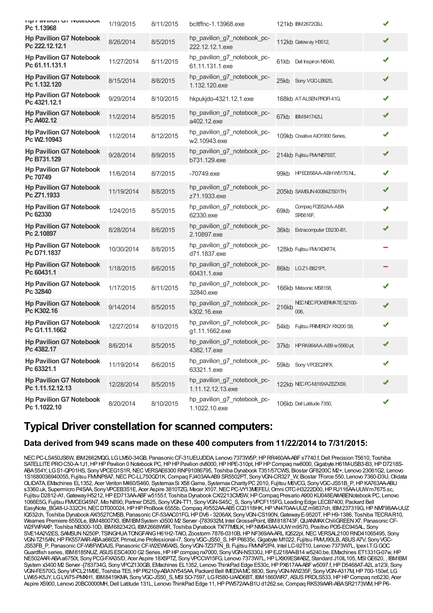| <b>ITIV FAVIIIUII UT INUUDUUN</b><br>Pc 1.13968    | 1/19/2015  | 8/11/2015 | bcltffnc-1.13968.exe                             |       | 121kb IBM26720BJ,                |   |
|----------------------------------------------------|------------|-----------|--------------------------------------------------|-------|----------------------------------|---|
| <b>Hp Pavilion G7 Notebook</b><br>Pc 222.12.12.1   | 8/26/2014  | 8/5/2015  | hp_pavilion_g7_notebook_pc-<br>222.12.12.1.exe   |       | 112kb Gateway H3512,             |   |
| <b>Hp Pavilion G7 Notebook</b><br>Pc 61.11.131.1   | 11/27/2014 | 8/11/2015 | hp_pavilion_g7_notebook_pc-<br>61.11.131.1.exe   | 61kb  | Dell Inspiron N5040,             | ✔ |
| <b>Hp Pavilion G7 Notebook</b><br>Pc 1.132.120     | 8/15/2014  | 8/8/2015  | hp_pavilion_g7_notebook_pc-<br>1.132.120.exe     |       | 25kb Sony VGC-LB92S,             | ✔ |
| <b>Hp Pavilion G7 Notebook</b><br>Pc 4321.12.1     | 9/29/2014  | 8/10/2015 | hkpukjdo-4321.12.1.exe                           |       | 168kb AT ALSEN PROFI 41G.        | ✔ |
| <b>Hp Pavilion G7 Notebook</b><br>Pc A402.12       | 11/2/2014  | 8/5/2015  | hp_pavilion_g7_notebook_pc-<br>a402.12.exe       |       | 67kb IBM841742U,                 | ✔ |
| <b>Hp Pavilion G7 Notebook</b><br>Pc W2.10943      | 11/2/2014  | 8/12/2015 | hp_pavilion_g7_notebook_pc-<br>w2.10943.exe      |       | 109kb Creative AIO1900 Series,   | ✔ |
| <b>Hp Pavilion G7 Notebook</b><br>Pc B731.129      | 9/28/2014  | 8/9/2015  | hp_pavilion_g7_notebook_pc-<br>b731.129.exe      |       | 214kb Fujitsu FM/NB75ST,         | ✔ |
| <b>Hp Pavilion G7 Notebook</b><br>Pc 70749         | 11/6/2014  | 8/7/2015  | $-70749$ .exe                                    |       | 99kb HPEO658AA-ABHW5170.NL,      |   |
| <b>Hp Pavilion G7 Notebook</b><br>Pc Z71.1933      | 11/19/2014 | 8/8/2015  | hp_pavilion_g7_notebook_pc-<br>z71.1933.exe      |       | 205kb SAMSUN 400B4Z/S01TH,       | ✔ |
| <b>Hp Pavilion G7 Notebook</b><br>Pc 62330         | 1/24/2015  | 8/5/2015  | hp_pavilion_g7_notebook_pc-<br>62330.exe         | 69kb  | Compaq FQ552AA-ABA<br>SR5616F,   | ✔ |
| <b>Hp Pavilion G7 Notebook</b><br>Pc 2.10897       | 8/28/2014  | 8/6/2015  | hp pavilion g7 notebook pc-<br>2.10897.exe       | 36kb  | Extracomputer D3230-B1,          | ✔ |
| <b>Hp Pavilion G7 Notebook</b><br>Pc D71.1837      | 10/30/2014 | 8/8/2015  | hp_pavilion_g7_notebook_pc-<br>d71.1837.exe      |       | 128kb Fujitsu FMVXDXF74,         |   |
| <b>Hp Pavilion G7 Notebook</b><br>Pc 60431.1       | 1/18/2015  | 8/6/2015  | hp_pavilion_g7_notebook_pc-<br>60431.1.exe       |       | 86kb LGZ1-B821P1,                |   |
| <b>Hp Pavilion G7 Notebook</b><br>Pc 32840         | 1/17/2015  | 8/11/2015 | hp_pavilion_g7_notebook_pc-<br>32840.exe         |       | 166kb Matsonic MS8158,           |   |
| <b>Hp Pavilion G7 Notebook</b><br>Pc K302.16       | 9/14/2014  | 8/5/2015  | hp_pavilion_g7_notebook_pc-<br>k302.16.exe       | 216kb | NEC NEC POWERWATE S2100-<br>006. | ✔ |
| <b>Hp Pavilion G7 Notebook</b><br>Pc G1.11.1662    | 12/27/2014 | 8/10/2015 | hp_pavilion_g7_notebook_pc-<br>g1.11.1662.exe    | 54kb  | Fujitsu PRIMERGY RX200 S8,       | ✔ |
| <b>Hp Pavilion G7 Notebook</b><br>Pc 4382.17       | 8/6/2014   | 8/5/2015  | hp_pavilion_g7_notebook_pc-<br>4382.17.exe       |       | 37kb HPRA964AA-AB9 w 5560.pt,    |   |
| <b>Hp Pavilion G7 Notebook</b><br>Pc 63321.1       | 11/19/2014 | 8/6/2015  | hp_pavilion_g7_notebook_pc-<br>63321.1.exe       |       | 59kb Sony VPCEC2RFX,             | ✔ |
| <b>Hp Pavilion G7 Notebook</b><br>Pc 1.11.12.12.13 | 12/28/2014 | 8/5/2015  | hp_pavilion_g7_notebook_pc-<br>1.11.12.12.13.exe |       | 122kb NEC PC-MJ18XAZEZXS9,       | ✔ |
| <b>Hp Pavilion G7 Notebook</b><br>Pc 1.1022.10     | 8/20/2014  | 8/10/2015 | hp_pavilion_g7_notebook_pc-<br>1.1022.10.exe     |       | 106kb Dell Latitude 7350,        | ✔ |

### **Typical Driver constellation for scanned computers:**

### **Data derived from 949 scans made on these 400 computers from 11/22/2014 to 7/31/2015:**

NEC PC-LS450JS6W, IBM2662MQG, LGLM50-34GB, Panasonic CF-31UEUJDDA, Lenovo 7373W5P, HP RR460AA-ABFs7740.f, Dell Precision T5610, Toshiba SATELLITE PRO C50-A-1J1, HP HP Pavilion 0 Notebook PC, HP HP Pavilion dv8000, HP HPE-310pt, HP HP Compaq nw8000, Gigabyte H61M-USB3-B3, HP D7218S-ABA554Y, LGS1-QP01HS, SonyVPCEG1S1R,NECVERSAE6300 RNF91086795, Toshiba Dynabook T351/57CWS, BiostarGF8200C M2+, Lenovo 23061G2, Lenovo 1S1680036940055, Fujitsu FMMP8A7, NEC PC-LL750GD1K, Compaq FJ403AA-AB9 SR5502PT, Sony VGN-CR327 W, Biostar TForce 550, Lenovo 7360-D3U, Olidata OLIDATA, EMachines EL1352, Acer Veriton M460/S460, SystemaxSi X58Game, SystemaxCharityPC2010, Fujitsu M6VCG, SonyVGC-JS51B\_P,HPKA763AA-ABU s3360.uk, Supermicro P4SAA, Sony VPCEB3S1E, Acer Aspire 3810TZG, Mecer X107, NEC PC-VY13MEFEU, Omni OTC-H3222D00, HP RJ116AA-UUW m7675.sc, Fujitsu D2812-A1,GatewayH5212,HPED713AA-ABFw5155.f, Toshiba DynabookCX/2213CMSW,HPCompaq Presario A900 KU048EA#ABENotebook PC, Lenovo 1066E5G, Fujitsu FMVCEG45N7, Mio N890, Partner D525, SonyVGN-TT1, SonyVGN-S45C\_S, SonyVPCF115FG, Leading Edge LECB7400, Packard Bell EasyNote\_BG48-U-332CH, NEC DT000024, HP HP ProBook 6555b, Compaq AY552AA-AB5 CQ3118HK, HP VN470AA-UUZ m9837ch, IBM237319G, HP NM798AA-UUZ IQ532ch, Toshiba Dynabook AX/3527CMSB, PanasonicCF-53AAC01FG,HPDV6 - 3206AX, SonyVGN-CS190N,GatewayE-9520T,HPH9-1386, Toshiba TECRAR10, Wearnes Premiere 8550Le, IBM48007X3, IBMIBMSystem x3500 M2 Server -[783932M, Intel GrossePoint, IBM818743F, QUANMAX ChiliGREEN X7, Panasonic CF-W2FWPAXP, Toshiba NB300-10D, IBM682342G, IBM2668W9R, Toshiba Dynabook TX/77MBLK,HPNM943AA-UUWm9570, Positivo POS-EC945AL, Sony SVE14A2V2ES, SAMSUN N250P, TSINGHUA TONGFANG H61H2-TAIO, Zoostorm 7876-0310B, HP NF369AA-ARL IQ522pl, NECVERSAL2100 RND41065495, Sony VGN-TZ15AN,HPFK557AAR-ABAa6602f, PrimeLine Professional-i7, SonyVGC-JS50\_S,HPP6635c,Gigabyte M1022, Fujitsu FMVU90LB, ASUSA7V, SonyVGC-JS53FB\_P, PanasonicCF-W8FWDAJS, PanasonicCF-W2EW6AXS, SonyVGN-TZ37TN\_B, Fujitsu FMVNP2P4, Intel LC-92T10, Lenovo 7373W7L, IpexI.T.GGOC Guardfish series, IBM8185NUZ, ASUS ESC4000 G2 Series, HP HP compaq nx7000, Sony VGN-NS330J, HP EJ218AA-B14 w5240.be, EMachines ET1331G-07w, HP NE502AAR-ABAa6750t, SonyPCG-FXA35/D, Acer Aspire 18X5PTZ, SonyVPCCW15FG, Lenovo 7373W7L,HPLX909ES#ABZ, Standard J10IL105, MSIGE620, , IBMIBM System x3400 M2 Server -[783734G, Sony VPCZ130GB, EMachines EL1352, Lenovo ThinkPad Edge E530c, HP PX617AA-ABF w5097.f, HP D5468AT-A2L a123l, Sony VGN-FE570G, SonyVPCL21M9E, Toshiba TE5,HPP6210y-ABANY545AA, Packard Bell IMEDIAMC8830, SonyVGN-NW235F, SonyVGN-A317M,HP700-150ef, LG LW65-K5JY, LGLW75-PMXH1, IBM8419KMA, SonyVGC-JS50\_S, MSI SO-7597, LGR580-UAAD6BT, IBM1860WR7, ASUSPRDLS533,HPHPCompaq nc6230, Acer Aspire X5900, Lenovo 20BC0000MH, Dell Latitude 131L, Lenovo ThinkPad Edge 11, HP PW572AA-B1U d1262.se, Compaq RK539AAR-ABA SR2173WM, HP P6-